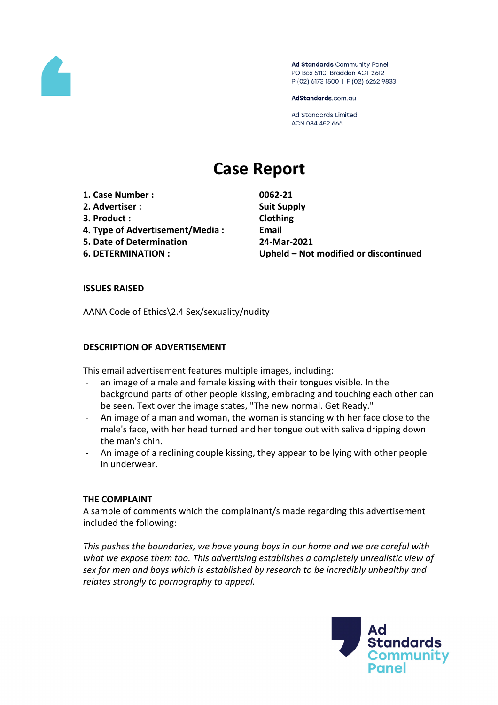

Ad Standards Community Panel PO Box 5110, Braddon ACT 2612 P (02) 6173 1500 | F (02) 6262 9833

AdStandards.com.au

**Ad Standards Limited** ACN 084 452 666

# **Case Report**

**1. Case Number : 0062-21**

- **2. Advertiser : Suit Supply**
- **3. Product : Clothing**
- **4. Type of Advertisement/Media : Email**
- **5. Date of Determination 24-Mar-2021**
- 

**6. DETERMINATION : Upheld – Not modified or discontinued**

## **ISSUES RAISED**

AANA Code of Ethics\2.4 Sex/sexuality/nudity

## **DESCRIPTION OF ADVERTISEMENT**

This email advertisement features multiple images, including:

- an image of a male and female kissing with their tongues visible. In the background parts of other people kissing, embracing and touching each other can be seen. Text over the image states, "The new normal. Get Ready."
- An image of a man and woman, the woman is standing with her face close to the male's face, with her head turned and her tongue out with saliva dripping down the man's chin.
- An image of a reclining couple kissing, they appear to be lying with other people in underwear.

## **THE COMPLAINT**

A sample of comments which the complainant/s made regarding this advertisement included the following:

*This pushes the boundaries, we have young boys in our home and we are careful with what we expose them too. This advertising establishes a completely unrealistic view of sex for men and boys which is established by research to be incredibly unhealthy and relates strongly to pornography to appeal.*

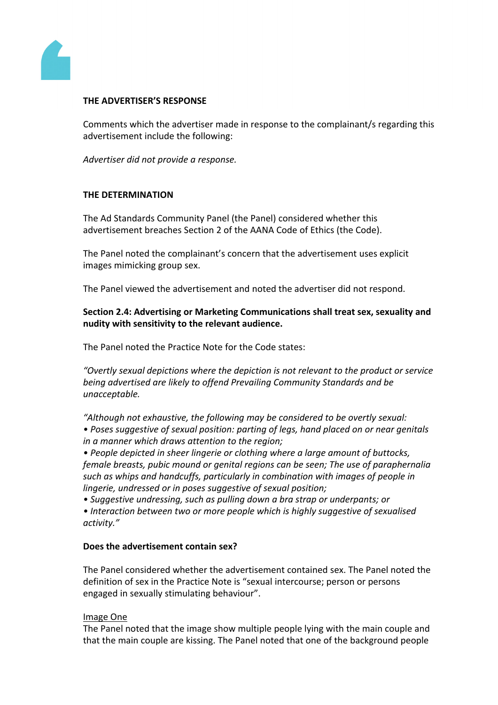

# **THE ADVERTISER'S RESPONSE**

Comments which the advertiser made in response to the complainant/s regarding this advertisement include the following:

*Advertiser did not provide a response.*

# **THE DETERMINATION**

The Ad Standards Community Panel (the Panel) considered whether this advertisement breaches Section 2 of the AANA Code of Ethics (the Code).

The Panel noted the complainant's concern that the advertisement uses explicit images mimicking group sex.

The Panel viewed the advertisement and noted the advertiser did not respond.

**Section 2.4: Advertising or Marketing Communications shall treat sex, sexuality and nudity with sensitivity to the relevant audience.**

The Panel noted the Practice Note for the Code states:

*"Overtly sexual depictions where the depiction is not relevant to the product or service being advertised are likely to offend Prevailing Community Standards and be unacceptable.*

*"Although not exhaustive, the following may be considered to be overtly sexual:*

*• Poses suggestive of sexual position: parting of legs, hand placed on or near genitals in a manner which draws attention to the region;*

*• People depicted in sheer lingerie or clothing where a large amount of buttocks, female breasts, pubic mound or genital regions can be seen; The use of paraphernalia such as whips and handcuffs, particularly in combination with images of people in lingerie, undressed or in poses suggestive of sexual position;*

*• Suggestive undressing, such as pulling down a bra strap or underpants; or*

*• Interaction between two or more people which is highly suggestive of sexualised activity."*

## **Does the advertisement contain sex?**

The Panel considered whether the advertisement contained sex. The Panel noted the definition of sex in the Practice Note is "sexual intercourse; person or persons engaged in sexually stimulating behaviour".

## Image One

The Panel noted that the image show multiple people lying with the main couple and that the main couple are kissing. The Panel noted that one of the background people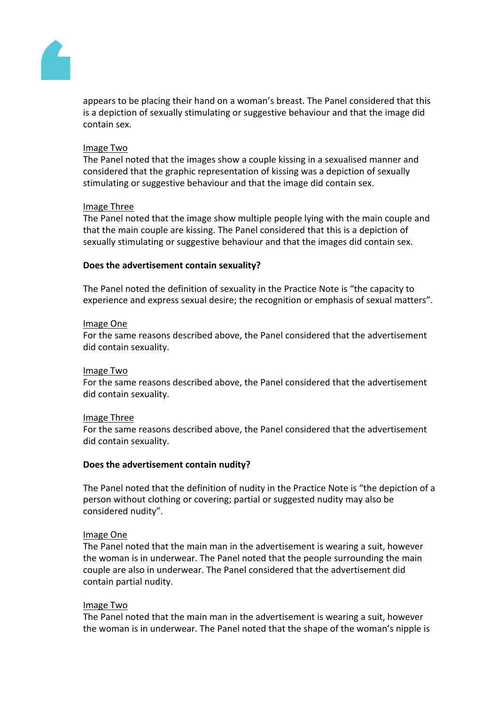

appears to be placing their hand on a woman's breast. The Panel considered that this is a depiction of sexually stimulating or suggestive behaviour and that the image did contain sex.

## Image Two

The Panel noted that the images show a couple kissing in a sexualised manner and considered that the graphic representation of kissing was a depiction of sexually stimulating or suggestive behaviour and that the image did contain sex.

## Image Three

The Panel noted that the image show multiple people lying with the main couple and that the main couple are kissing. The Panel considered that this is a depiction of sexually stimulating or suggestive behaviour and that the images did contain sex.

## **Does the advertisement contain sexuality?**

The Panel noted the definition of sexuality in the Practice Note is "the capacity to experience and express sexual desire; the recognition or emphasis of sexual matters".

#### Image One

For the same reasons described above, the Panel considered that the advertisement did contain sexuality.

#### Image Two

For the same reasons described above, the Panel considered that the advertisement did contain sexuality.

#### Image Three

For the same reasons described above, the Panel considered that the advertisement did contain sexuality.

## **Does the advertisement contain nudity?**

The Panel noted that the definition of nudity in the Practice Note is "the depiction of a person without clothing or covering; partial or suggested nudity may also be considered nudity".

## Image One

The Panel noted that the main man in the advertisement is wearing a suit, however the woman is in underwear. The Panel noted that the people surrounding the main couple are also in underwear. The Panel considered that the advertisement did contain partial nudity.

#### Image Two

The Panel noted that the main man in the advertisement is wearing a suit, however the woman is in underwear. The Panel noted that the shape of the woman's nipple is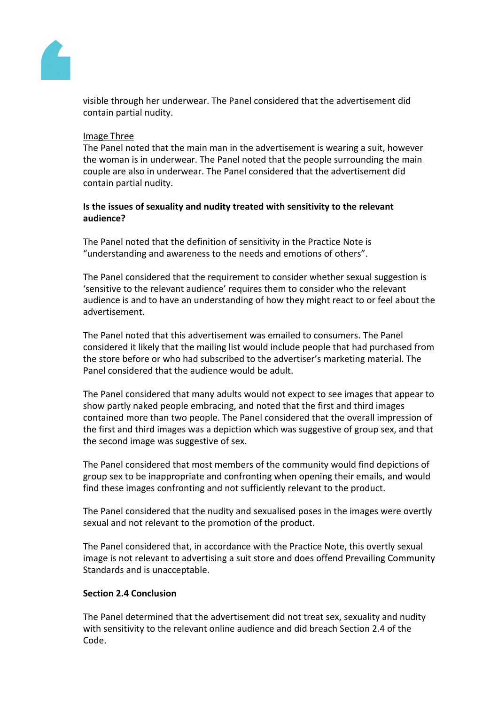

visible through her underwear. The Panel considered that the advertisement did contain partial nudity.

## Image Three

The Panel noted that the main man in the advertisement is wearing a suit, however the woman is in underwear. The Panel noted that the people surrounding the main couple are also in underwear. The Panel considered that the advertisement did contain partial nudity.

# **Is the issues of sexuality and nudity treated with sensitivity to the relevant audience?**

The Panel noted that the definition of sensitivity in the Practice Note is "understanding and awareness to the needs and emotions of others".

The Panel considered that the requirement to consider whether sexual suggestion is 'sensitive to the relevant audience' requires them to consider who the relevant audience is and to have an understanding of how they might react to or feel about the advertisement.

The Panel noted that this advertisement was emailed to consumers. The Panel considered it likely that the mailing list would include people that had purchased from the store before or who had subscribed to the advertiser's marketing material. The Panel considered that the audience would be adult.

The Panel considered that many adults would not expect to see images that appear to show partly naked people embracing, and noted that the first and third images contained more than two people. The Panel considered that the overall impression of the first and third images was a depiction which was suggestive of group sex, and that the second image was suggestive of sex.

The Panel considered that most members of the community would find depictions of group sex to be inappropriate and confronting when opening their emails, and would find these images confronting and not sufficiently relevant to the product.

The Panel considered that the nudity and sexualised poses in the images were overtly sexual and not relevant to the promotion of the product.

The Panel considered that, in accordance with the Practice Note, this overtly sexual image is not relevant to advertising a suit store and does offend Prevailing Community Standards and is unacceptable.

## **Section 2.4 Conclusion**

The Panel determined that the advertisement did not treat sex, sexuality and nudity with sensitivity to the relevant online audience and did breach Section 2.4 of the Code.